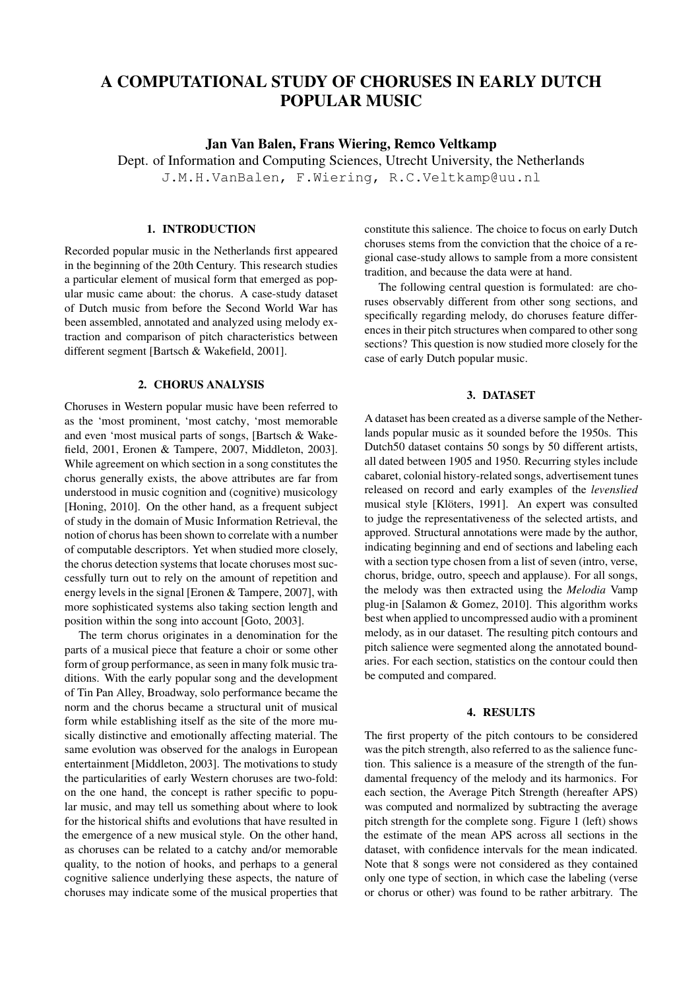# A COMPUTATIONAL STUDY OF CHORUSES IN EARLY DUTCH POPULAR MUSIC

Jan Van Balen, Frans Wiering, Remco Veltkamp

Dept. of Information and Computing Sciences, Utrecht University, the Netherlands J.M.H.VanBalen, F.Wiering, R.C.Veltkamp@uu.nl

## 1. INTRODUCTION

Recorded popular music in the Netherlands first appeared in the beginning of the 20th Century. This research studies a particular element of musical form that emerged as popular music came about: the chorus. A case-study dataset of Dutch music from before the Second World War has been assembled, annotated and analyzed using melody extraction and comparison of pitch characteristics between different segment [Bartsch & Wakefield, 2001].

#### 2. CHORUS ANALYSIS

Choruses in Western popular music have been referred to as the 'most prominent, 'most catchy, 'most memorable and even 'most musical parts of songs, [Bartsch & Wakefield, 2001, Eronen & Tampere, 2007, Middleton, 2003]. While agreement on which section in a song constitutes the chorus generally exists, the above attributes are far from understood in music cognition and (cognitive) musicology [Honing, 2010]. On the other hand, as a frequent subject of study in the domain of Music Information Retrieval, the notion of chorus has been shown to correlate with a number of computable descriptors. Yet when studied more closely, the chorus detection systems that locate choruses most successfully turn out to rely on the amount of repetition and energy levels in the signal [Eronen & Tampere, 2007], with more sophisticated systems also taking section length and position within the song into account [Goto, 2003].

The term chorus originates in a denomination for the parts of a musical piece that feature a choir or some other form of group performance, as seen in many folk music traditions. With the early popular song and the development of Tin Pan Alley, Broadway, solo performance became the norm and the chorus became a structural unit of musical form while establishing itself as the site of the more musically distinctive and emotionally affecting material. The same evolution was observed for the analogs in European entertainment [Middleton, 2003]. The motivations to study the particularities of early Western choruses are two-fold: on the one hand, the concept is rather specific to popular music, and may tell us something about where to look for the historical shifts and evolutions that have resulted in the emergence of a new musical style. On the other hand, as choruses can be related to a catchy and/or memorable quality, to the notion of hooks, and perhaps to a general cognitive salience underlying these aspects, the nature of choruses may indicate some of the musical properties that constitute this salience. The choice to focus on early Dutch choruses stems from the conviction that the choice of a regional case-study allows to sample from a more consistent tradition, and because the data were at hand.

The following central question is formulated: are choruses observably different from other song sections, and specifically regarding melody, do choruses feature differences in their pitch structures when compared to other song sections? This question is now studied more closely for the case of early Dutch popular music.

## 3. DATASET

A dataset has been created as a diverse sample of the Netherlands popular music as it sounded before the 1950s. This Dutch50 dataset contains 50 songs by 50 different artists, all dated between 1905 and 1950. Recurring styles include cabaret, colonial history-related songs, advertisement tunes released on record and early examples of the *levenslied* musical style [Klöters, 1991]. An expert was consulted to judge the representativeness of the selected artists, and approved. Structural annotations were made by the author, indicating beginning and end of sections and labeling each with a section type chosen from a list of seven (intro, verse, chorus, bridge, outro, speech and applause). For all songs, the melody was then extracted using the *Melodia* Vamp plug-in [Salamon & Gomez, 2010]. This algorithm works best when applied to uncompressed audio with a prominent melody, as in our dataset. The resulting pitch contours and pitch salience were segmented along the annotated boundaries. For each section, statistics on the contour could then be computed and compared.

#### 4. RESULTS

The first property of the pitch contours to be considered was the pitch strength, also referred to as the salience function. This salience is a measure of the strength of the fundamental frequency of the melody and its harmonics. For each section, the Average Pitch Strength (hereafter APS) was computed and normalized by subtracting the average pitch strength for the complete song. Figure 1 (left) shows the estimate of the mean APS across all sections in the dataset, with confidence intervals for the mean indicated. Note that 8 songs were not considered as they contained only one type of section, in which case the labeling (verse or chorus or other) was found to be rather arbitrary. The